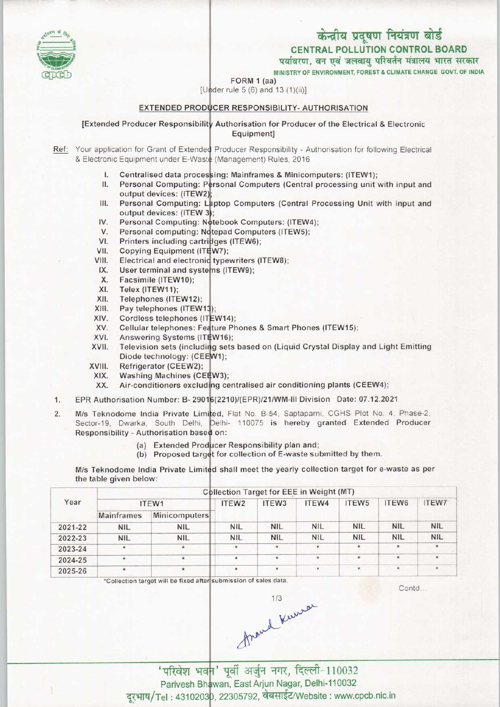# केन्द्रीय प्रदूषण नियंत्रण बोर्ड

CENTRAL POLLUTION CONTROL BOARD

पर्यावरण. वन एवं जलवाय परिवर्तन मंत्रालय भारत सरकार

MINISTRY OF ENVIRONMENT, FOREST & CLIMATE CHANGE GOVT. OF INDIA

FORM 1 (aa)

[Under rule 5  $(6)$  and 13  $(1)(ii)$ ]

### EXTENDED PRODUCER RESPONSIBILITY- AUTHORISATION

[Extended Producer Responsibility Authorisation for Producer of the Electrical & Electronic Equipment]

Ref: Your application for Grant of Extended Producer Responsibility - Authorisation for following Electrical & Electronic Equipment under E-Waste (Management) Rules, 2016

- Centralised data processing: Mainframes & Minicomputers: (ITEW1);  $\mathbf{L}$
- al Computing: Personal Computers (Central processing unit with input and II. output devices: (ITEW2
- Personal Computing: Laptop Computers (Central Processing Unit with input and Ш. output devices: (ITEW 3);
- Personal Computing: Notebook Computers: (ITEW4)  $IV.$
- Personal computing: Notepad Computers (ITEW5) V.
- Printers including cartridges (ITEW6); VI.
- Copying Equipment (ITEW7); VII.
- Electrical and electronic typewriters (ITEW8); VIII.
- User terminal and systems (ITEW9); IX.
- Facsimile (ITEW10); X.
- Telex (ITEW11); XI.
- Telephones (ITEW12); XII.
- Pay telephones (ITEW13); XIII.
- Cordless telephones (ITEW14); XIV.
- Cellular telephones: Feature Phones & Smart Phones (ITEW15); XV.
- Answering Systems (ITEW16) XVI.
- Television sets (including sets based on (Liquid Crystal Display and Light Emitting Diode technology: (CEEW1); XVII.
- Refrigerator (CEEW2); XVIII.
- Washing Machines (CEEW3); XIX.
- Air-conditioners excluding centralised air conditioning plants (CEEW4) XX.
- XIX. Washing Machines (CEEW3);<br>XX. Air-conditioners excluding centralised air conditioning plants (CEEW4);<br>1. EPR Authorisation Number: B- 29016(2210)/(EPR)/21/WM-III Division Date: 07.12.2021
- M/s Teknodome India Private Limited, Flat No. B-54, Saptaparni, CGHS Plot No. 4, Phase-2. Westernburght and Private Emmed, har No. 5-54, Saptapami, 55-15 hereby in the set of the sector-19, Dwarka. South Delhi, Delhi- 110075 is hereby granted Extended Producer 1. EPR Authorisation Number: B- 290<br>2. M/s Teknodome India Private Lim<br>Sector-19. Dwarka. South Delhi. Responsibility - Authorisation based on:
	- Additionsation based on:<br>(a) Extended Producer Responsibility plan and;
	- (a) Extended Producer Responsibility plan and;<br>(b) Proposed target for collection of E-waste submitted by them.

M/s Teknodome India Private Limited shall meet the yearly collection target for e-waste as per the table given below:

|         | <b>Collection Target for EEE in Weight (MT)</b> |                      |                   |                   |            |                   |            |              |  |  |
|---------|-------------------------------------------------|----------------------|-------------------|-------------------|------------|-------------------|------------|--------------|--|--|
| Year    | ITEW1                                           |                      | ITEW <sub>2</sub> | ITEW <sub>3</sub> | ITEW4      | ITEW <sub>5</sub> | ITEW6      | <b>ITEW7</b> |  |  |
|         | Mainframes                                      | <b>Minicomputers</b> |                   |                   |            |                   |            |              |  |  |
| 2021-22 | <b>NIL</b>                                      | <b>NIL</b>           | <b>NIL</b>        | <b>NIL</b>        | <b>NIL</b> | <b>NIL</b>        | <b>NIL</b> | <b>NIL</b>   |  |  |
| 2022-23 | <b>NIL</b>                                      | <b>NIL</b>           | <b>NIL</b>        | <b>NIL</b>        | <b>NIL</b> | <b>NIL</b>        | <b>NIL</b> | <b>NIL</b>   |  |  |
| 2023-24 | $\star$                                         | $\star$              | $\star$           | $\star$           | $\star$    | $\star$           |            |              |  |  |
| 2024-25 | $\star$                                         | $\star$              | $\star$           | $\star$           |            | $\bullet$         | ¥.         |              |  |  |
| 2025-26 | $\star$                                         | $\star$              | $\star$           | $\star$           |            | $\star$           | *          |              |  |  |

'Collection target will be fixed after submission of sales data

Contd.



Parivesh Bhawan, East Arjun Nagar, Delhi-110032 nvesh Bhawan, East Aljan Nagar, Bohn 118882<br>: 4310203<mark>0, 22305792, वेबसाईट/Website : www.cpcb.nic.</mark>in 'परिवेश भवन' पूर्वी अर्जुन नगर, दिल्ली-110032

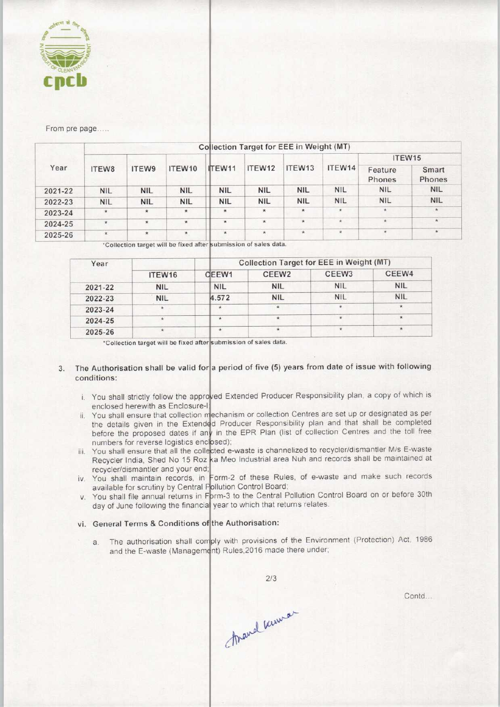

From pre page....

| Year    | Collection Target for EEE in Weight (MT) |            |            |            |            |            |            |                   |                 |  |  |
|---------|------------------------------------------|------------|------------|------------|------------|------------|------------|-------------------|-----------------|--|--|
|         | ITEW8                                    |            |            | ITEW11     | ITEW12     | ITEW13     | ITEW14     | ITEW15            |                 |  |  |
|         |                                          | ITEW9      | ITEW10     |            |            |            |            | Feature<br>Phones | Smart<br>Phones |  |  |
| 2021-22 | <b>NIL</b>                               | <b>NIL</b> | <b>NIL</b> | <b>NIL</b> | <b>NIL</b> | <b>NIL</b> | NIL.       | <b>NIL</b>        | <b>NIL</b>      |  |  |
| 2022-23 | <b>NIL</b>                               | <b>NIL</b> | <b>NIL</b> | <b>NIL</b> | <b>NIL</b> | <b>NIL</b> | <b>NIL</b> | NIL.              | <b>NIL</b>      |  |  |
| 2023-24 | 泳                                        | $\star$    | $\star$    | $\star$    | $\star$    | $\star$    | $\star$    | $\star$           |                 |  |  |
| 2024-25 | $\star$                                  | $\star$    | $\star$    | $\star$    | $\star$    | $\star$    | $*$        | $\star$           | $\star$         |  |  |
| 2025-26 | $\star$                                  | $\star$    | $\star$    | $\star$    | $\star$    | $^\star$   | $\star$    | $\mathbf{x}$      | $\star$         |  |  |

\*Collection target will be fixed after submission of sales data

| Year    |            |            | Collection Target for EEE in Weight (MT) |                   |            |  |  |  |
|---------|------------|------------|------------------------------------------|-------------------|------------|--|--|--|
|         | ITEW16     | CEEW1      | CEEW <sub>2</sub>                        | CEEW <sub>3</sub> | CEEW4      |  |  |  |
| 2021-22 | <b>NIL</b> | <b>NIL</b> | <b>NIL</b>                               | <b>NIL</b>        | <b>NIL</b> |  |  |  |
| 2022-23 | <b>NIL</b> | 4.572      | <b>NIL</b>                               | <b>NIL</b>        | <b>NIL</b> |  |  |  |
| 2023-24 |            | ★          |                                          |                   |            |  |  |  |
| 2024-25 |            | $\ddot{}$  |                                          |                   | $\star$    |  |  |  |
| 2025-26 |            | *          |                                          |                   | $\star$    |  |  |  |

\*Collection target will be fixed after submission of sales data.

# 3. The Authorisation shall be valid for a period of five (5) years from date of issue with following conditions:

- You shall strictly follow the approved Extended Producer Responsibility plan, a copy of which is enclosed herewith as Enclosure-
- You shall ensure that collection mechanism or collection Centres are set up or designated as per the details given in the Extended Producer Responsibility plan and that shall be completed before the proposed dates if any in the EPR Plan (list of collection Centres and the toll free numbers for reverse logistics enclosed).
- You shall ensure that all the collected e-waste is channelized to recycler/dismantler M/s E-waste Recycler India, Shed No 15 Roz ka Meo Industrial area Nuh and records shall be maintained at recycler/dismantler and your end;
- You shall maintain records, in Form-2 of these Rules, of e-waste and make such records available for scrutiny by Central Pollution Control Board
- You shall file annual returns in Form-3 to the Central Pollution Control Board on or before 30th day of June following the financial year to which that returns relates

#### vi. General Terms & Conditions of the Authorisation:

The authorisation shall comply with provisions of the Environment (Protection) Act, 19  $a<sub>r</sub>$ and the E-waste (Management) Rules, 2016 made there under

 $2/3$ 

Contd...

Mand Ruman